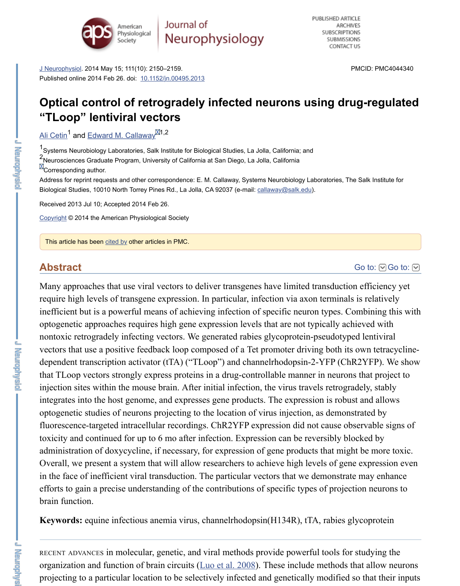<sup>1</sup>Systems Neurobiology Laboratories, Salk Institute for Biological Studies, La Jolla, California; and 2<br>Neurosciences Graduate Program, University of California at San Diego, La Jolla, California **M**Corresponding author.

Address for reprint requests and other correspondence: E. M. Callaway, Systems Neurobiology Laboratories, The Biological Studies, 10010 North Torrey Pines Rd., La Jolla, CA 92037 (e-mail: callaway@salk.edu).

[Received 2013](https://www.ncbi.nlm.nih.gov/pmc/articles/PMC4044340/#) Jul 10; Accepted 20[14 Feb 26.](https://dx.doi.org/10.1152%2Fjn.00495.2013)

Copyright © 2014 the American Physiological Society

This article has been cited by other articles in PMC.

## **[Abstra](https://www.ncbi.nlm.nih.gov/pubmed/?term=Cetin%20A%5BAuthor%5D&cauthor=true&cauthor_uid=24572099)ct**

Many approaches that use viral vectors to deliver transgenes have limited transduction require high levels of transgene expression. In particular, infection via axon terminals inefficient but is a powerful means of achieving infection of specific neuron types. C optogenetic approaches requires high gene expression leve[ls that are not ty](mailto:dev@null)pically achieved with  $\alpha$ nontoxic retrogradely infecting vectors. We generated rabies glycoprotein-pseudotyp [vectors](https://www.ncbi.nlm.nih.gov/pmc/about/copyright/) that use a positive feedback loop composed of a Tet promoter driving both its dependent transcription activator (tTA) ("TLoop") and channelrhodopsin-2-YFP (Ch that TLoop vecto[rs stron](https://www.ncbi.nlm.nih.gov/pmc/articles/PMC4044340/citedby/)gly express proteins in a drug-controllable manner in neuron injection sites within the mouse brain. After initial infection, the virus travels retrogradely integrates into the host genome, and expresses gene products. The expression is robust allows: optogenetic studies of neurons projecting to the location of virus injection, as demon fluorescence-targeted intracellular recordings. ChR2YFP expression did not cause ob toxicity and continued for up to 6 mo after infection. Expression can be reversibly block administration of doxycycline, if necessary, for expression of gene products that might Overall, we present a system that will allow researchers to achieve high levels of general. in the face of inefficient viral transduction. The particular vectors that we demonstrate efforts to gain a precise understanding of the contributions of specific types of projection brain function.

**Keywords:** equine infectious anemia virus, channelrhodopsin(H134R), tTA, rabies g

RECENT ADVANCES in molecular, genetic, and viral methods provide powerful tools for organization and function of brain circuits (Luo et al. 2008). These include methods that projecting to a particular location to be selectively infected and genetically modified

**U MENICONNER** 

 $L = 2\pi$  is a set of  $\frac{1}{2}$  and  $\frac{1}{2}$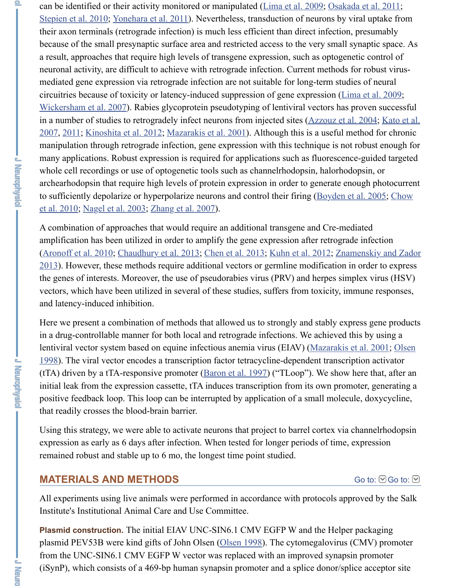$2007$ ,  $2011$ ; Kinoshita et al. 2012; Mazarakis et al. 2001). Al[though this is a u](https://www.ncbi.nlm.nih.gov/pmc/articles/PMC4044340/#B22)seful m [manipulation throu](https://www.ncbi.nlm.nih.gov/pmc/articles/PMC4044340/#B34)[gh retrograde infectio](https://www.ncbi.nlm.nih.gov/pmc/articles/PMC4044340/#B42)n, gene expression with this technique is not many applications. Robust expression is required for applications such as fluorescend whole cell recordings or use of optogenetic tools such as channelrhodopsin, halorhod archearhodopsin that require high levels of protein expression in order to generate en to sufficiently depolarize or hyperpolarize neurons and control their firing (Boyden et al. 2005; Chow et al. 2010; Nagel et al. 2003; Zhang et al. 2007).

A combination of approaches that would require an additional transgene and Cre-[mediated](https://www.ncbi.nlm.nih.gov/pmc/articles/PMC4044340/#B22) [amplification has been u](https://www.ncbi.nlm.nih.gov/pmc/articles/PMC4044340/#B40)tilized in order to amplify the gene expression after retrograd (Aronoff et al. 2010; Chaudhury et al. 2013; Chen et al. 2013; Kuhn et al. 2012; Znan  $2013$ )[. How](https://www.ncbi.nlm.nih.gov/pmc/articles/PMC4044340/#B17)[ever, these methods re](https://www.ncbi.nlm.nih.gov/pmc/articles/PMC4044340/#B18)[quire additional vector](https://www.ncbi.nlm.nih.gov/pmc/articles/PMC4044340/#B24)s or germline modification in the genes of interests. Moreover, the use of pseudorabies virus (PRV) and herpes sim vectors, which have been utilized in several of these studies, suffers from toxicity, im and latency-induced inhibition.

Here we present a combination of methods that allowed us to strongly and stably exp in a drug-controllable manner for both local and retrograde infections. We achieved t lentiviral vector system based on equine infectious anemia virus (EIAV) (Mazarakis et al. 2011; Olsen 1998). The viral vector encodes a transcription factor tetracycline-dependent transcription activation activator. (tTA) driven by a tTA-responsive promoter  $(Baron et al. 1997)$  ("TLoop"). We show initial leak from the expression cassette, tTA induces transcription from its own prom positive feedback loop. This loop can be interrupted by application of a small molecule. that readily crosses the blood-brain barrier.

Using this strategy, we were able to activate neurons that project to barrel cortex via expression as early as 6 days after infection. When tested for longer periods of time, remained robust and stable up to 6 mo, the longest time point studied.

# **[MATERIALS AND METHODS](https://www.ncbi.nlm.nih.gov/pmc/articles/PMC4044340/#B29)**

All experiments using live animals were per[formed in accorda](https://www.ncbi.nlm.nih.gov/pmc/articles/PMC4044340/#B5)nce with protocols app Institute's Institutional Animal Care and Use Committee.

Plasmid construction. The initial EIAV UNC-SIN6.1 CMV EGFP W and the Helper plasmid PEV53B were kind gifts of John Olsen (Olsen 1998). The cytomegalovirus ( from the UNC-SIN6.1 CMV EGFP W vector was replaced with an improved synapsid  $(iSynP)$ , which consists of a 469-bp human synapsin promoter and a splice donor/spl

不思言

**Little Manual**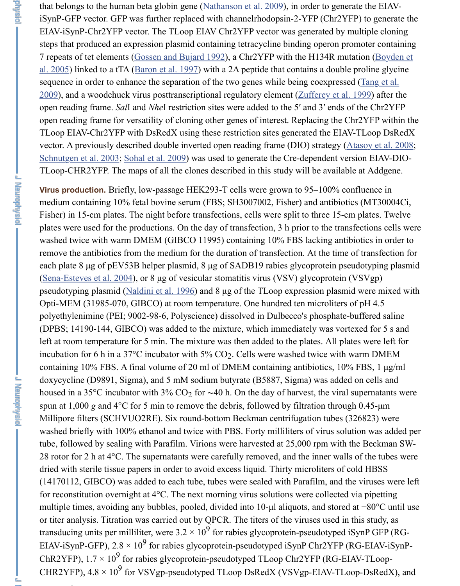TLoop EIAV-Chr2YFP with DsRedX using [these restriction sites g](https://www.ncbi.nlm.nih.gov/pmc/articles/PMC4044340/#B28)enerated the EIAV vector. A previously described double inverted open reading frame (DIO) strategy ( $\underline{A}$ Schnutgen et al. 2003; Sohal et al. 2009) was used to generate the Cre-dependent ver TLoop-CHR2YFP. The maps of all the clones described in this study will be available

**Virus production.** Briefly, low-passage HEK293-T cells were grown to 95–100% con medium containing 10% [fetal bovine serum](https://www.ncbi.nlm.nih.gov/pmc/articles/PMC4044340/#B5) (FBS; SH3007002, Fisher) and antibiotic Fisher) in 15-cm plates. The night before transfections, cells were split to three 15-cm plates were used for the productions. On the day of transfection, 3 h prior to the trans washed twice with warm DMEM (GIBCO 11995) containing 10% FBS lacking antibiotics remove the antibiotics from the medium for the duration of transfection. At the time each plate 8  $\mu$ g of pEV53B helper plasmid, 8  $\mu$ g of SADB19 rabies glycoprotein pse (Sena-Esteves et al.  $2004$ ), or 8 µg of vesicular stomatitis virus (VSV) glycoprotein ( [pseudotyping plasmid](https://www.ncbi.nlm.nih.gov/pmc/articles/PMC4044340/#B31) [\(Naldini et al. 199](https://www.ncbi.nlm.nih.gov/pmc/articles/PMC4044340/#B33)6) and 8 µg of the TLoop expression plasmid Opti-MEM (31985-070, GIBCO) at room temperature. One hundred ten microliters of polyethylenimine (PEI; 9002-98-6, Polyscience) dissolved in Dulbecco's phosphate-buffered saling saling saling (DPBS; 14190-144, GIBCO) was added to the mixture, which immediately was vorte left at room temperature for 5 min. The mixture was then added to the plates. All plates incubation for 6 h in a 37°C incubator with  $5\%$  CO<sub>2</sub>. Cells were washed twice with v containing 10% FBS. A final volume of 20 ml of DMEM containing antibiotics,  $10\%$ doxycycline (D9891, Sigma), and 5 mM sodium butyrate (B5887, Sigma) was added housed in a 35°C incubator with 3% CO<sub>2</sub> for ~40 h. On the day of harvest, the viral s [spun at 1,000](https://www.ncbi.nlm.nih.gov/pmc/articles/PMC4044340/#B32)  $g$  and 4 $\degree$ C for 5 min to remove the debris, followed by filtration through Millipore filters (SCH[VUO2RE\). Six roun](https://www.ncbi.nlm.nih.gov/pmc/articles/PMC4044340/#B27)d-bottom Beckman centrifugation tubes (3 washed briefly with 100% ethanol and twice with PBS. Forty milliliters of virus solu tube, followed by sealing with Parafilm. Virions were harvested at 25,000 rpm with t 28 rotor for 2 h at  $4^{\circ}$ C. The supernatants were carefully removed, and the inner walls dried with sterile tissue papers in order to avoid excess liquid. Thirty microliters of cold HBSS (14170112, GIBCO) was added to each tube, tubes were sealed with Parafilm, and th for reconstitution overnight at  $4^{\circ}$ C. The next morning virus solutions were collected multiple times, avoiding any bubbles, pooled, divided into 10-µl aliquots, and stored or titer analysis. Titration was carried out by QPCR. The titers of the viruses used in transducing units per milliliter, were  $3.2 \times 10^9$  for rabies glycoprotein-pseudotyped is EIAV-iSynP-GFP), 2.8  $\times$  10<sup>9</sup> for rabies glycoprotein-pseudotyped iSynP Chr2YFP (F ChR2YFP),  $1.7 \times 10^9$  for rabies glycoprotein-pseudotyped TLoop Chr2YFP (RG-EL CHR2YFP),  $4.8 \times 10^9$  for VSVgp-pseudotyped TLoop DsRedX (VSVgp-EIAV-TLoop

 $\sim$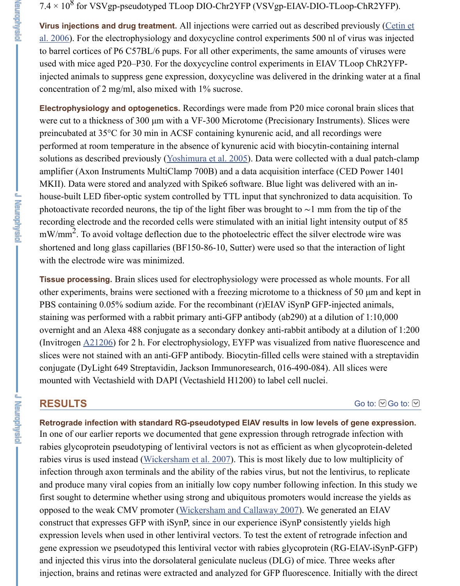preincubated at 35<sup>o</sup>C for 30 min in ACSF containing kynurenic acid, and all recording performed at room temperature in the absence of kynurenic acid with biocytin-containing performed at room temperature in the absence of kynurenic acid with biocytin-containing  $\alpha$ solutions as described previously (Yoshimura et al. 2005). Data were collected with a amplifier (Axon Instruments MultiClamp 700B) and a data acquisition interface (CE MKII). Data were stored and analyzed with Spike6 software. Blue light was delivere house-built LED fiber-optic system controlled by TTL input that synchronized to dat photoactivate recorded neurons, the tip of the light fiber was brought to  $\sim$ 1 mm from recording electrode and the recorded cells were stimulated with an initial light intens  $mW/mm^2$ . To avoid voltage deflection due to the photoelectric effect the silver electro shortened and long glass capillaries (BF150-86-10, Sutter) were used so that the interwith the electrode wire was minimized.

**Tissue processing.** Brain slices used for electrophysiology were processed as whole other experiments, brains were se[ctioned with a freezing](https://www.ncbi.nlm.nih.gov/pmc/articles/PMC4044340/#B43) microtome to a thickness of PBS containing 0.05% sodium azide. For the recombinant (r)EIAV iSynP GFP-inject staining was performed with a rabbit primary anti-GFP antibody (ab290) at a dilution overnight and an Alexa 488 conjugate as a secondary donkey anti-rabbit antibody at (Invitrogen  $\Delta$ 21206) for 2 h. For electrophysiology, EYFP was visualized from nativ slices were not stained with an anti-GFP antibody. Biocytin-filled cells were stained v conjugate (DyLight 649 Streptavidin, Jackson Immunoresearch, 016-490-084). All sl mounted with Vectashield with DAPI (Vectashield H1200) to label cell nuclei.

## **RESULTS**

Retrograde infection with standard RG-pseudotyped EIAV results in low levels of In one of our earlier reports we documented that gene expression through retrograde rabies glycoprotein pseudotyping of lentiviral vectors is not as efficient as when glyc rabies virus is used instead (Wickersham et al. 2007). This is most likely due to low multiplication infection th[rough ax](https://www.ncbi.nlm.nih.gov/nuccore/A21206)on terminals and the ability of the rabies virus, but not the lentivirus, to replicate the lentivirus, to replicate the lentivirus, to replicate the lentivirus, to replicate the lentivirus, to replicate and produce many viral copies from an initially low copy number following infection. first sought to determine whether using strong and ubiquitous promoters would increase the yields as the yields as the yields as the yields as the yields as the yields as the yields as the yields as the yields as the yield opposed to the weak CMV promoter (Wickersham and Callaway 2007). We generate construct that expresses GFP with iSynP, since in our experience iSynP consistently y expression levels when used in other lentiviral vectors. To test the extent of retrograd gene expression we pseudotyped this lentiviral vector with rabies glycoprotein (RG-I and injected this virus into the dorsolateral geniculate nucleus (DLG) of mice. Three injection, brains and retinas were extracted and analyzed for GFP fluorescence. Initial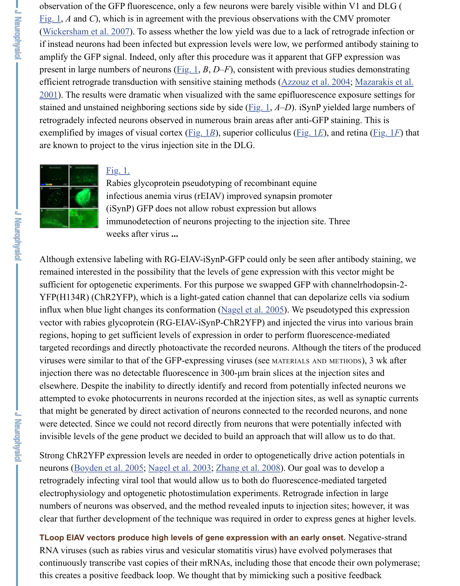exemplified by images of visual cortex (<u>Fig. 1*B*</u>), superior colliculus (Fig. 1*E*), and re [are kn](https://www.ncbi.nlm.nih.gov/pmc/articles/PMC4044340/figure/F1/)own to project to the virus injection site in the DLG.



### [Fig. 1.](https://www.ncbi.nlm.nih.gov/pmc/articles/PMC4044340/#B40)

Rabies glycoprotein pseudotyping of recombinant equine infectious anemia [virus \(r](https://www.ncbi.nlm.nih.gov/pmc/articles/PMC4044340/figure/F1/)EIAV) improved synapsin promoter (iSynP) GFP does not allow robust expression [but allows](https://www.ncbi.nlm.nih.gov/pmc/articles/PMC4044340/#B4) [immunodetection of neurons projecting to the injection site. Three](https://www.ncbi.nlm.nih.gov/pmc/articles/PMC4044340/#B24) weeks after virus **...**

Although extensive labeling with RG-E[IAV-iSy](https://www.ncbi.nlm.nih.gov/pmc/articles/PMC4044340/figure/F1/)nP-GFP could only b[e seen af](https://www.ncbi.nlm.nih.gov/pmc/articles/PMC4044340/figure/F1/)ter anti remained interested in the possibility that the levels of gene expression with this vect sufficient for optogenetic experiments. For this purpose we swapped GFP with channel YFP(H134R) (Ch[R2YFP](https://www.ncbi.nlm.nih.gov/pmc/articles/PMC4044340/figure/F1/)), which is a light-gated cation channel that can depolarize or [influx when blue](https://www.ncbi.nlm.nih.gov/pmc/articles/PMC4044340/figure/F1/) light changes its conformation (Nagel et al.  $2005$ ). We pseudotyped vector with rabies glycoprotein (RG-EIAV-iSynP-ChR2YFP) and injected the virus in regions, hoping to get sufficient levels of expression in order to perform fluorescence targeted recordings and directly photoactivate the recorded neurons. Although the tite viruses were similar to that of the GFP-expressing viruses (see MATERIALS AND METHO injection there was no detectable fluorescence in  $300$ - $\mu$ m brain slices at the injection elsewhere. Despite the inability to directly identify and record from potentially infect attempted to evoke photocurrents in neurons recorded at the injection sites, as well as that might be generated by direct activation of neurons connected to the recorded neurons, were detected. Since we could not record directly from neurons that were potentially invisible levels of the gene product we decided t[o build an approac](https://www.ncbi.nlm.nih.gov/pmc/articles/PMC4044340/#B25)h that will allow u

Strong ChR2YFP expression levels are needed in order to optogenetically drive action neurons (Boyden et al. 2005; Nagel et al. 2003; Zhang et al. 2008). Our goal was to de retrogradely infecting viral tool that would allow us to both do fluorescence-mediated electrophysiology and optogenetic photostimulation experiments. Retrograde infection numbers of neurons was observed, and the method revealed inputs to injection sites; clear that further development of the technique was required in order to express gene

**TLoop EIAV vectors produce high levels of gene expression with an early onset.**  $\Gamma$ RNA viruses (such as rabies virus and vesicular stomatitis virus) have evolved polym continuously transcribe vast copies of their mRNAs, including those that encode their this creates a positive feedback loop. We thought that by mimicking such a positive f

**L Anthonysis**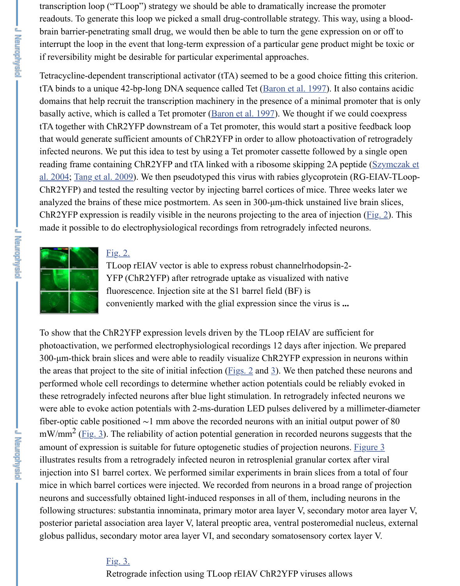tTA together with  $\Gamma$  together with  $\Gamma$  Tet promoter, this would start a positive feedback loop and  $\Gamma$ that would generate sufficient amounts of ChR2YFP in order to allow photoactivation infected neurons. We put this idea to test by using a Tet promoter cassette followed b reading frame containing ChR2YFP and tTA linked with a ribosome skipping 2A pepth al. 2004; Tang et al. 2009). We then pseudotyped this virus with rabies glycoprotein (RG-EIA) ChR2YFP) and tested the resulting vector by injecting barrel cortices of mice. Three analyzed the brains of these mice postmortem. As seen in 300-µm-thick unstained live ChR2YFP expression is readily visible in the neurons projec[ting to the area of](https://www.ncbi.nlm.nih.gov/pmc/articles/PMC4044340/#B5) injection made it possible to do electrophysiological recordings from retrogradely infected neurons.



#### Fig. 2.

TLoop rEIAV vector is able to express robust channelrhodopsin-2- YFP (ChR2YFP) after retrograde uptake as visualized with native fluorescence. Injection site at the S1 barrel field (BF) is [conveniently marked with the glial expression since the virus is](https://www.ncbi.nlm.nih.gov/pmc/articles/PMC4044340/#B35) **...**

To show that the ChR2YFP expression levels driven by the TLoop rEIAV are sufficient photoactivation, we performed electrophysiological recordings 12 days after injection  $300$ - $\mu$ m-thick brain slices and were able to readily visualize ChR2YFP expression in the areas that project to the site of initial infection ( $\underline{Figs. 2}$  and  $\underline{3}$ ). We then patched the [performed whol](https://www.ncbi.nlm.nih.gov/pmc/articles/PMC4044340/figure/F2/)e [cell rec](https://www.ncbi.nlm.nih.gov/pmc/articles/PMC4044340/figure/F2/)ordings to determine whether action potentials could be reliably these retrogradely infected neurons after blue light stimulation. In retrogradely infect were able to evoke action potentials with 2-ms-duration LED pulses delivered by a m fiber-optic cable positioned  $\sim$ 1 mm above the recorded neurons with an initial output mW/mm<sup>2</sup> (Fig. 3). The reliability of action potential generation in recorded neurons solution amount of expression is suitable for future optogenetic studies of projection neurons. illustrates results from a retrogradely infected neuron in retrosplenial granular cortex injection into S1 barrel cortex. We performed similar experiments in brain slices from mice in which barrel cortices were injected. We recorded from neurons in a broad range of projection. neurons and successfully obtained light-induced re[sponses](https://www.ncbi.nlm.nih.gov/pmc/articles/PMC4044340/figure/F2/) in a[ll](https://www.ncbi.nlm.nih.gov/pmc/articles/PMC4044340/figure/F3/) of them, including neurons and successfully obtained light-induced responses in all of them, including n following structures: substantia innominata, primary motor area layer V, secondary n posterior parietal association area layer V, lateral preoptic area, ventral posteromedial globus pallidus, secondary motor area layer VI, and secondary somatosensory cortex

#### Fig. 3.

Retrograde infection using TLoop rEIAV ChR2YFP viruses allows

L PREFOURCE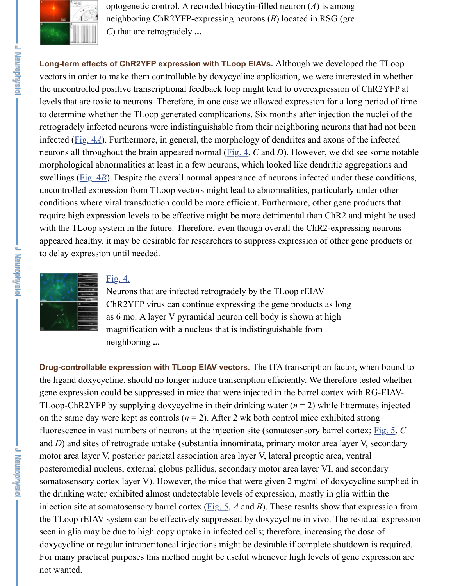retrogradely infected neurons were indistinguishable from their neighboring neurons that had not been infected (*Fig. 4A*). Furthermore, in general, the morphology of dendrites and axons of [neurons all throu](https://www.ncbi.nlm.nih.gov/pmc/articles/PMC4044340/figure/F3/)ghout the brain appeared normal ( $Fig. 4$ , *C* and *D*). However, we did morphological abnormalities at least in a few neurons, which looked like dendritic ag swellings (*Fig. 4B*). Despite the overall normal appearance of neurons infected under uncontrolled expression from TLoop vectors might lead to abnormalities, particularly conditions where viral transduction could be more efficient. Furthermore, other gene require high expression levels to be effective might be more detrimental than ChR2 and with the TLoop system in the future. Therefore, even though overall the ChR2-expre appeared healthy, it may be desirable for researchers to suppress expression of other to delay expression until needed.



**U Mandrando** 

**I** Like the Pierre of

### Fig. 4.

Neurons that are infected retrogr[adely](https://www.ncbi.nlm.nih.gov/pmc/articles/PMC4044340/figure/F4/) by the TLoop rEIAV [C](https://www.ncbi.nlm.nih.gov/pmc/articles/PMC4044340/figure/F4/)hR2YFP virus can continue expressing the gene products as long as 6 mo. A layer V pyramidal neuron cell body is shown at high magnification with a nucleus that is indistinguishable from neighboring **...**

**Drug-controllable expression with TLoop EIAV vectors.** The tTA transcription facto the ligand doxycycline, should no longer induce transcription efficiently. We therefore gene expression could be suppressed in mice that were injected in the barrel cortex w TLoop-ChR2YFP [by sup](https://www.ncbi.nlm.nih.gov/pmc/articles/PMC4044340/figure/F4/)plying doxycycline in their drinking water  $(n = 2)$  while littermates in the integral of the integral or  $n = 2$ ) while littermates in the integral or  $n = 2$ [on the same day](https://www.ncbi.nlm.nih.gov/pmc/articles/PMC4044340/figure/F4/) were kept as controls  $(n = 2)$ . After 2 wk both control mice exhibited fluorescence in vast numbers of neurons at the injection site (somatosensory barrel cortex; Fig. 5,  $\alpha$ **C** and  $D$ ) and sites of retrograde uptake (substantia innominata, primary motor area lay motor area layer V, posterior parietal association area layer V, lateral preoptic area, ve posteromedial nucleus, external globus pallidus, secondary motor area layer VI, and somatosensory cortex layer V). However, the mice that were given 2 mg/ml of doxyc the drinking water exhibited almost undetectable levels of expression, mostly in glia injection site at somatosensory barrel cortex (Fig. 5,  $A$  and  $B$ ). These results show that the TLoop rEIAV system can be effectively suppressed by doxycycline in vivo. The residual expression of  $\mu$ seen in glia may be due to high copy uptake in infected cells; therefore, increasing the doxycycline or regular intraperitoneal injections might be desirable if complete shutdown is also all the shutdown is required. For many practical purposes this method might be useful whenever high levels of general not wanted.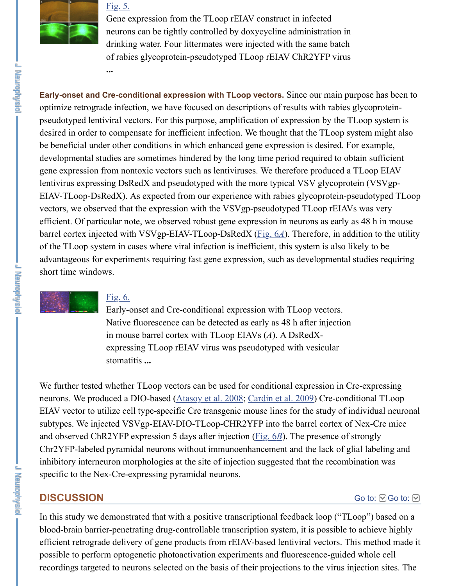desired in order t[o compe](https://www.ncbi.nlm.nih.gov/pmc/articles/PMC4044340/figure/F5/)nsate for inefficient infection. We thought that the TLoop system of [be beneficial und](https://www.ncbi.nlm.nih.gov/pmc/articles/PMC4044340/figure/F5/)er other conditions in which enhanced gene expression is desired. For developmental studies are sometimes hindered by the long time period required to obtain sufficient sufficient gene expression from nontoxic vectors such as lentiviruses. We therefore produced a lentivirus expressing DsRedX and pseudotyped with the more typical VSV glycoprot EIAV-TLoop-DsRedX). As expected from our experience with rabies glycoprotein-p vectors, we observed that the expression with the VSVgp-pseudotyped TLoop rEIAV efficient. Of particular note, we observed robust gene expression in neurons as early barrel cortex injected with VSVgp-EIAV-TLoop-DsRedX (Fig. 6*A*). Therefore, in ad of the TLoop system in cases where viral infection is inefficient, this system is also li advantageous for experiments requiring fast gene expression, such as developmental short time windows.



### Fig. 6.

Early-onset and Cre-conditional expression with TLoop vectors. Native fluorescence can be detected as early as 48 h after injection in mouse barrel cortex with TLoop EIAVs (*A*). A DsRedXexpressing TLoop rEIAV virus was pseudotyped with vesicular stomatitis **...**

We further tested whether TLoop vectors can be used for conditional expression in C neurons. We produced a DIO-based (Atasoy et al. 2008; Cardin et al. 2009) Cre-conditional TLO EIAV vector to utilize cell type-specific Cre transgenic mouse lines for the study of individual neuronal neuronal neuronal neuronal neuronal neuronal neuronal neuronal neuronal neuronal neuronal neuronal neuronal neuronal subtypes. We inje[cted VS](https://www.ncbi.nlm.nih.gov/pmc/articles/PMC4044340/figure/F6/)Vgp-EIAV-DIO-TLoop-CHR2YFP into the barrel cortex of [and observed Ch](https://www.ncbi.nlm.nih.gov/pmc/articles/PMC4044340/figure/F6/)R2YFP expression 5 days after injection (Fig. 6*B*). The presence of Chr2YFP-labeled pyramidal neurons without immunoenhancement and the lack of g inhibitory interneuron morphologies at the site of injection suggested that the recombination specific to the Nex-Cre-expressing pyramidal neurons.

### **DISCUSSION**

In this study we demonstrated that with a positive transcriptional feedback loop ("TL blood-brain barrier-penetrating drug-[controllable transc](https://www.ncbi.nlm.nih.gov/pmc/articles/PMC4044340/#B3)r[iption system, it is](https://www.ncbi.nlm.nih.gov/pmc/articles/PMC4044340/#B8) possible t efficient retrograde delivery of gene products from rEIAV-based lentiviral vectors. The possible to perform optogenetic photoactivation experiments and fluorescence-guide recordings targeted to neurons selected on the basis of thei[r projec](https://www.ncbi.nlm.nih.gov/pmc/articles/PMC4044340/figure/F6/)tions to the virus in

- Meydonghaid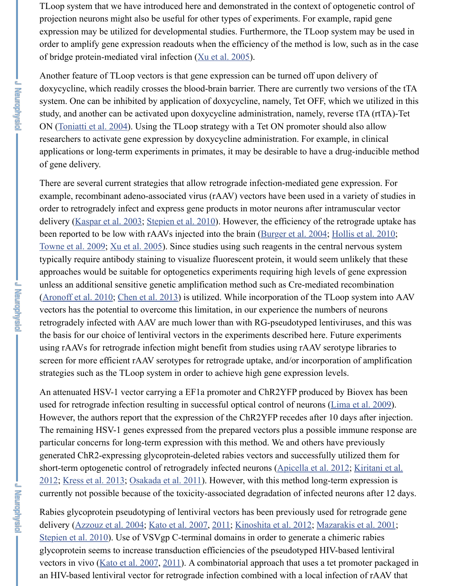ON (Toniatti et al. 2004). Using the TLoop strategy with a Tet ON promoter should also allow researchers to activate gene expression by doxycycline administration. For example, applications or long-term experiments in primates, it may be desirable to have a drug of gene delivery.

There are several current strategies that all[ow retrograde i](https://www.ncbi.nlm.nih.gov/pmc/articles/PMC4044340/#B41)nfection-mediated gene exp example, recombinant adeno-associated virus (rAAV) vectors have been used in a va order to retrogradely infect and express gene products in motor neurons after intramuscular vectors. delivery (Kaspar et al. 2003; Stepien et al. 2010). However, the efficiency of the retrograde up been reported to be low with rAAVs injected into the brain (Burger et al. 2004; Hollis Towne et al. 2009; Xu et al. 2005). Since studies using such reagents in the central ne typic[ally require antibod](https://www.ncbi.nlm.nih.gov/pmc/articles/PMC4044340/#B37)y staining to visualize fluorescent protein, it would seem unl approaches would be suitable for optogenetics experiments requiring high levels of g unless an additional sensitive genetic amplification method such as Cre-mediated rec (Aronoff et al. 2010; Chen et al. 2013) is utilized. While incorporation of the TLoop vectors has the potential to overcome this limitation, in our experience the numbers of retrogradely infected with AAV are much lower than with RG-pseudotyped lentivirus the basis for our choice of lentiviral vectors in the experiments described here. Future using rA[AVs for retrograde](https://www.ncbi.nlm.nih.gov/pmc/articles/PMC4044340/#B15) i[nfection might bene](https://www.ncbi.nlm.nih.gov/pmc/articles/PMC4044340/#B34)fit from studies using rAAV serotype screen for more efficient rAAV serotypes for retrograde upt[ake, and/or incorpo](https://www.ncbi.nlm.nih.gov/pmc/articles/PMC4044340/#B7)ration [strategies such as](https://www.ncbi.nlm.nih.gov/pmc/articles/PMC4044340/#B38) t[he TLoop syste](https://www.ncbi.nlm.nih.gov/pmc/articles/PMC4044340/#B41)m in order to achieve high gene expression levels.

**J Neurophysic** 

**Le Propredentatio** 

An attenuated HSV-1 vector carrying a EF1a promoter and ChR2YFP produced by B used for retrograde infection resulting in successful optical control of neurons (Lima However, the authors report that the expression of the ChR2YFP recedes after 10 day [The remaining HSV](https://www.ncbi.nlm.nih.gov/pmc/articles/PMC4044340/#B2)-[1 genes expressed](https://www.ncbi.nlm.nih.gov/pmc/articles/PMC4044340/#B11) from the prepared vectors plus a possible imn particular concerns for long-term expression with this method. We and others have pre generated ChR2-expressing glycoprotein-deleted rabies vectors and successfully utili short-term optogenetic control of retrogradely infected neurons (Apicella et al. 2012;  $2012$ ; Kress et al. 2013; Osakada et al. 2011). However, with this method long-term of currently not possible because of the toxicity-associated degradation of infected neur

Rabies glycoprotein pseudotyping of lentiviral vectors has been previously used for retragation delivery (Azzouz et al. 2004; Kato et al. 2007, 2011; Kinoshita et al. 2012; Mazaraki Stepien et al. 2010). Use of VSVgp C-terminal domains in order to generate a [chimeric rabies](https://www.ncbi.nlm.nih.gov/pmc/articles/PMC4044340/#B22) glycoprotein seems to increase transduction efficiencies of the pseudotyped HIV-base vectors in vivo (Kato et al. 2007, 2011). A combinatorial approach that uses a tet proan HIV-based lentiviral vector for retrograde infection combined with a local infection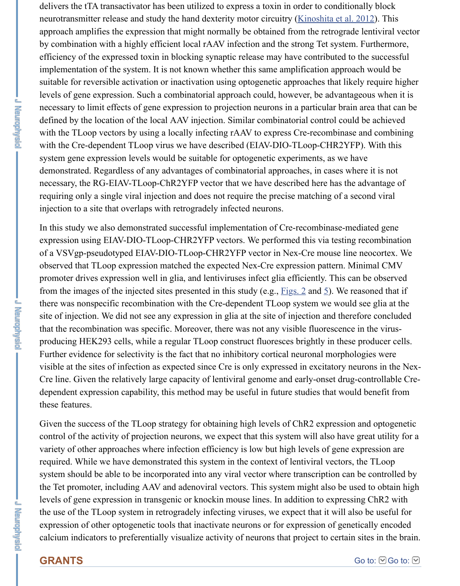with the TLoop vectors by using a locally infecting rAAV to express Cre-recombinas with the Cre-dependent TLoop virus we have described (EIAV-DIO-TLoop-CHR2YI system gene expression levels would be suitable for optogenetic experiments, as we have demonstrated. Regardless of any advantages of combinatorial approaches, in cases w necessary, the RG-EIAV-TLoop-ChR2YFP vector that we have described here has the requiring only a single viral injection and does not require the precise matching of a second viral injection to a site that overlaps with retrogradely infected neurons.

In this study we also demonstrated successful implementation of Cre-recombinase-mediated generalism. expression using EIAV-DIO-TLoop-CHR2YFP vectors. We performed this via testin of a VSVgp-pseudotyped EIAV-DIO-TLoop-CHR2YFP vector in Nex-Cre mouse line observed that TLoop expression matched the expected Nex-Cre expression pattern. N promoter drives expression well in glia, and lentiviruses infect glia efficiently. This c from the images of the injected sites presented in this study (e.g.,  $Figs. 2$  and 5). We if there was nonspecific recombination with the Cre-dependent TLoop system we would site of injection. We did not see any expression in glia at the site of injection and therefore concluded then that the recombination was specific. Moreover, there was not any visible fluorescence producing HEK293 cells, while a regular TLoop construct fluoresces brightly in thes Further evidence for selectivity is the fact that no inhibitory cortical neuronal morpho visible at the sites of infection as expected since Cre is only expressed in excitatory r Cre line. Given the relatively large capacity of lentiviral genome and early-onset drug dependent expression capability, this method may be useful in future studies that would be these features.

Given the success of the TLoop strategy for obtaining high levels [of ChR](https://www.ncbi.nlm.nih.gov/pmc/articles/PMC4044340/figure/F2/)2 e[xp](https://www.ncbi.nlm.nih.gov/pmc/articles/PMC4044340/figure/F5/)ression control of the activity of projection neurons, we expect that this system will also have variety of other approaches where infection efficiency is low but high levels of gene required. While we have demonstrated this system in the context of lentiviral vectors system should be able to be incorporated into any viral vector where transcription can the Tet promoter, including AAV and adenoviral vectors. This system might also be used to  $\alpha$ levels of gene expression in transgenic or knockin mouse lines. In addition to express the use of the TLoop system in retrogradely infecting viruses, we expect that it will a expression of other optogenetic tools that inactivate neurons or for expression of gen calcium indicators to preferentially visualize activity of neurons that project to certain

# **GRANTS**

**Their** 

**Lenguage** 

- J Renephysic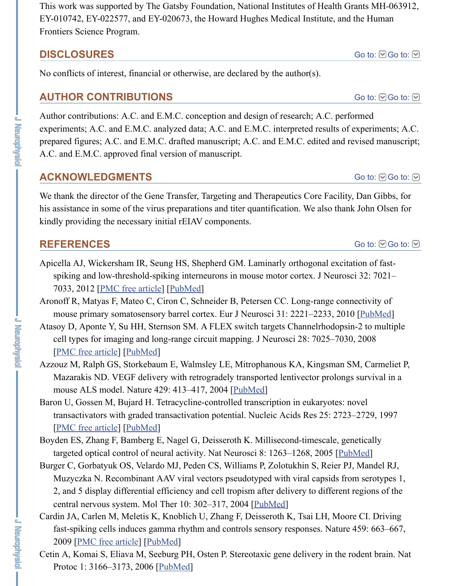$\min_{i=1}$ , A.C. and E.M.C. analyzed data; A.C. and E.M.C. interpreted results of prepared figures; A.C. and E.M.C. drafted manuscript; A.C. and E.M.C. edited and re A.C. and E.M.C. approved final version of manuscript.

## **ACKNOWLEDGMENTS**

We thank the director of the Gene Transfer, Targeting and Therapeutics Core Facility his assistance in some of the virus preparations and titer quantification. We also than kindly providing the necessary initial rEIAV components.

# **REFERENCES**

**England** 

**J Navightysic** 

**URNANGRANDING** 

- Apicella AJ, Wickersham IR, Seung HS, Shepherd GM. Laminarly orthogonal excitation spiking and low-threshold-spiking interneurons in mouse motor cortex. J Neuroso 7033, 2012 [PMC free article] [PubMed]
- Aronoff R, Matyas F, Mateo C, Ciron C, Schneider B, Petersen CC. Long-range connectionmouse primary somatosensory barrel cortex. Eur J Neurosci 31: 2221-2233, 2010
- Atasoy D, Aponte Y, Su HH, Sternson SM. A FLEX switch targets Channelrhodopsin cell types for imaging and long-range circuit mapping. J Neurosci 28: 7025–7030 [PMC free article] [PubMed]
- Azzouz M, Ralph GS, Storkebaum E, Walmsley LE, Mitrophanous KA, Kingsman S Mazarakis ND. VEGF delivery with retrogradely transported lentivector prolongs mouse ALS model. Nature 429: 413–417, 2004 [PubMed]
- Baron U, Gossen M, Bujard H. Tetracycline-controlled transcription in eukaryotes: no transactivat[ors with graded tra](https://www.ncbi.nlm.nih.gov/pmc/articles/PMC3377057/)n[sactivatio](https://www.ncbi.nlm.nih.gov/pubmed/22593070)n potential. Nucleic Acids Res 25: 2723 [PMC free article] [PubMed]
- Boyden ES, Zhang F, Bamberg E, Nagel G, Deisseroth K. Millisecond-timescale, gene targeted optical control of neural activity. Nat Neurosci 8:  $1263-1268$ ,  $2005$  [Pub
- Burger C, Gorbatyuk OS, Velardo MJ, Peden CS, Williams P, Zolotukhin S, Reier PJ [Muzyczka N. Rec](https://www.ncbi.nlm.nih.gov/pmc/articles/PMC2593125/)o[mbinant A](https://www.ncbi.nlm.nih.gov/pubmed/18614669)AV viral vectors pseudotyped with viral capsids from 2, and 5 display differential efficiency and cell tropism after delivery to different central nervous system. Mol Ther 10: 302–317, 2004 [PubMed]
- Cardin JA, Carlen M, Meletis K, Knoblich U, Zhan[g F, Deiss](https://www.ncbi.nlm.nih.gov/pubmed/15164063)eroth K, Tsai LH, Moor fast-spiking cells induces gamma rhythm and controls sensory responses. Nature 2009 [PMC free article] [PubMed]
- Ceti[n A, Komai S, El](https://www.ncbi.nlm.nih.gov/pmc/articles/PMC146828/)ia[va M, Se](https://www.ncbi.nlm.nih.gov/pubmed/9207017)eburg PH, Osten P. Stereotaxic gene delivery in the r Protoc 1: 3166–3173, 2006 [PubMed]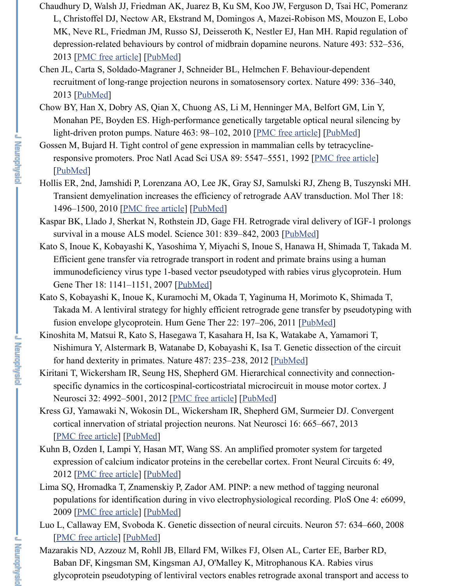- light-driven proton pumps. Nature 463: 98–102, 2010 <u>[PMC free article</u>] [<u>PubMe</u>
- Gossen M, Bujard H. Tight control of gene expression in mammalian cells by tetracy responsive promoters. Proc Natl Acad Sci USA 89: 5547-5551, 1992 [PMC free [PubMed]
- Hollis ER[, 2nd, Jamshidi P,](https://www.ncbi.nlm.nih.gov/pmc/articles/PMC3554860/) [Lorenzana](https://www.ncbi.nlm.nih.gov/pubmed/23235832) AO, Lee JK, Gray SJ, Samulski RJ, Zheng B, Transient demyelination increases the efficiency of retrograde AAV transduction. 1496–1500, 2010 [PMC free article] [PubMed]
- Kaspar B[K, Llado](https://www.ncbi.nlm.nih.gov/pubmed/23792559) J, Sherkat N, Rothstein JD, Gage FH. Retrograde viral delivery of survival in a mouse ALS model. Science 301: 839–842, 2003 [PubMed]
- Kato S, Inoue K, Kobayashi K, Yasoshima Y, Miyachi S, Inoue S, Hanawa H, Shima Efficient gene transfer via retrograde transport in rode[nt and primate bra](https://www.ncbi.nlm.nih.gov/pmc/articles/PMC2939492/)ins using immunodeficiency virus type 1-based vector pseudotyped with rabies virus glyco Gene Ther 18: 1141–1151, 2007 [PubMed]
- Kat[o S, Koba](https://www.ncbi.nlm.nih.gov/pubmed/1319065)yashi K, Inoue K, Kuramochi M, Okada T, Yaginuma H, Morimoto K, Takada M. A lentiviral strategy for highly efficient retrograde gene transfer by ps fusion envelope glycoprotein. Hum Gene Ther 22: 197–206, 2011 [PubMed]
- Kinoshita M, Matsui [R, Kato S, Hasega](https://www.ncbi.nlm.nih.gov/pmc/articles/PMC2927074/)w[a T, Kasa](https://www.ncbi.nlm.nih.gov/pubmed/20502445)hara H, Isa K, Watakabe A, Yama Nishimura Y, Alstermark B, Watanabe D, Kobayashi K, Isa T. Genetic dissection for hand dexterity in primates. Nature 487: 235–238, 2012 [Pu[bMed\]](https://www.ncbi.nlm.nih.gov/pubmed/12907804)
- Kiritani T, Wickersham IR, Seung HS, Shepherd GM. Hierarchical connectivity and specific dynamics in the corticospinal-corticostriatal microcircuit in mouse motor Neurosci 32: 4992–5001, 2012 [PMC free article] [PubMed]
- Kress GJ, Yamawaki N, Wokosin DL[, Wickers](https://www.ncbi.nlm.nih.gov/pubmed/17944573)ham IR, Shepherd GM, Surmeier DJ. cortical innervation of striatal projection neurons. Nat Neurosci 16: 665–667, 2013 [PMC free article] [PubMed]
- Kuhn B, Ozden I, Lampi Y, Hasan MT, Wang SS. An amplified promo[ter system](https://www.ncbi.nlm.nih.gov/pubmed/20954846) for expression of calcium indicator proteins in the cerebellar cortex. Front Neural Circuits 6: 2012 [PMC free article] [PubMed]
- Lima SQ, Hromadka T, Znamenskiy P, Zador AM. PINP: a ne[w method](https://www.ncbi.nlm.nih.gov/pubmed/22722837) of tagging n populations for identification during in vivo electrophysiological recording. PloS 2009 [PMC free article] [PubMed]
- Luo L, Callaway EM, Svoboda K. [Genetic dissection](https://www.ncbi.nlm.nih.gov/pmc/articles/PMC3329752/) [of neural c](https://www.ncbi.nlm.nih.gov/pubmed/22492054)ircuits. Neuron 57: 6 [PMC free article] [PubMed]
- Mazarakis ND, Azzouz M, Rohll JB, Ellard FM, Wilkes FJ, Olsen AL, Carter EE, Barber RD, Azzouz M, Rohll JB, Ellard FM, Wilkes FJ, Olsen AL, Carter EE, Ba [Baban DF, Kingsm](https://www.ncbi.nlm.nih.gov/pmc/articles/PMC4085670/)[an SM, K](https://www.ncbi.nlm.nih.gov/pubmed/23666180)ingsman AJ, O'Malley K, Mitrophanous KA. Rabies glycoprotein pseudotyping of lentiviral vectors enables retrograde axonal transport and access to the access to

**URMANNEN**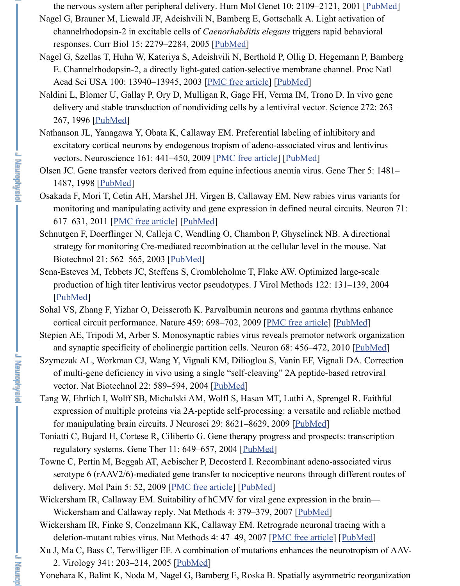- Nathanson JL, Yanagawa Y, Obata K, Callaway EM. Preferential labeling of inhibito excitatory cortical neurons by endogenous tropism of adeno-associated virus and vectors. Neuroscience 161: 441–450, 2009 [PMC free article] [PubMed]
- Olsen JC. Gene transfer vectors derived from e[quine infe](https://www.ncbi.nlm.nih.gov/pubmed/16360690)ctious anemia virus. Gene T 1487, 1998 [PubMed]
- Osakada F, Mori T, Cetin AH, Marshel JH, Virgen B, Callaway EM. New rabies virus monitoring and manipulating activity and [gene expression](https://www.ncbi.nlm.nih.gov/pmc/articles/PMC283525/) in [defined](https://www.ncbi.nlm.nih.gov/pubmed/14615590) neural circuits. 617–631, 2011 [PMC free article] [PubMed]
- Schnutgen F, Doerflinger N, Calleja C, Wendling O, Chambon P, Ghyselinck NB. A strategy fo[r monitor](https://www.ncbi.nlm.nih.gov/pubmed/8602510)ing Cre-mediated recombination at the cellular level in the m Biotechnol 21: 562–565, 2003 [PubMed]
- Sena-Esteves M, Tebbets JC, Steffens S, Crombleholme T, Flake AW. Optimized largeproduction of high titer lentivirus vector pse[udotypes. J Virol](https://www.ncbi.nlm.nih.gov/pmc/articles/PMC2728494/) [Methods](https://www.ncbi.nlm.nih.gov/pubmed/19318117) 122: 131– [PubMed]
- Sohal VS, Zhan[g F, Yizh](https://www.ncbi.nlm.nih.gov/pubmed/9930301)ar O, Deisseroth K. Parvalbumin neurons and gamma rhythi cortical circuit performance. Nature 459: 698–702, 2009 [PMC free article] [Pub]
- Stepien AE, Tripodi M, Arber S. Monosynaptic rabies virus reveals premotor networ and synaptic sp[ecificity of cholin](https://www.ncbi.nlm.nih.gov/pmc/articles/PMC3189471/)er[gic partit](https://www.ncbi.nlm.nih.gov/pubmed/21867879)ion cells. Neuron 68: 456-472, 2010
- Szymczak AL, Workman CJ, Wang Y, Vignali KM, Dilioglou S, Vanin EF, Vignali D of multi-gene deficiency in vivo using a single "self-cleaving" 2A peptide-based vector. Nat Biotechnol 22: 589[–594, 200](https://www.ncbi.nlm.nih.gov/pubmed/12665802)4 [PubMed]
- Tang W, Ehrlich I, Wolff SB, Michalski AM, Wolfl S, Hasan MT, Luthi A, Sprengel expression of multiple proteins via 2A-peptide self-processing: a versatile and rel [for manip](https://www.ncbi.nlm.nih.gov/pubmed/15542136)ulating brain circuits. J Neurosci 29: 8621–8629, 2009 [PubMed]
- Toniatti C, Bujard H, Cortese R, Ciliberto G. Gene therapy progress and prospects: trans regulatory systems. Gene Ther 11: 649–657, 2004 [PubM[ed\]](https://www.ncbi.nlm.nih.gov/pmc/articles/PMC3969859/)
- Towne C, Pertin M, Beggah AT, Aebischer P, Decosterd I. Recombinant adeno-assoc serotype 6 ( $rAAV2/6$ )-mediated gene transfer to nociceptive neurons through diff delivery. Mol Pain 5: 52, 2009 [PMC free article] [PubMed]
- Wickersham IR, Callaway EM. Suitability of hCMV for viral gene expression in the Wickersham and Callaway reply. Nat Methods [4: 37](https://www.ncbi.nlm.nih.gov/pubmed/15064769)9–379, 2007 [PubMed]
- Wickersham IR, Finke S, Conzelmann KK, Callaway EM. Retrograde neuronal traci deletion-mutant rabies virus. Nat Methods 4: 47–49, 2007 [PMC free article] [Pu Xu J, Ma C, Bass C, Terwilliger EF. A combination of mutations enh[ances the](https://www.ncbi.nlm.nih.gov/pubmed/19587267) neurotropism

2. Virology 341: 203–214, 2005 [PubMed]

Yonehara K, Balint K, Noda M, Nagel G, Bamberg E, [Roska B.](https://www.ncbi.nlm.nih.gov/pubmed/14985790) Spatially asymmetri

孟朝皇帝

District of the line